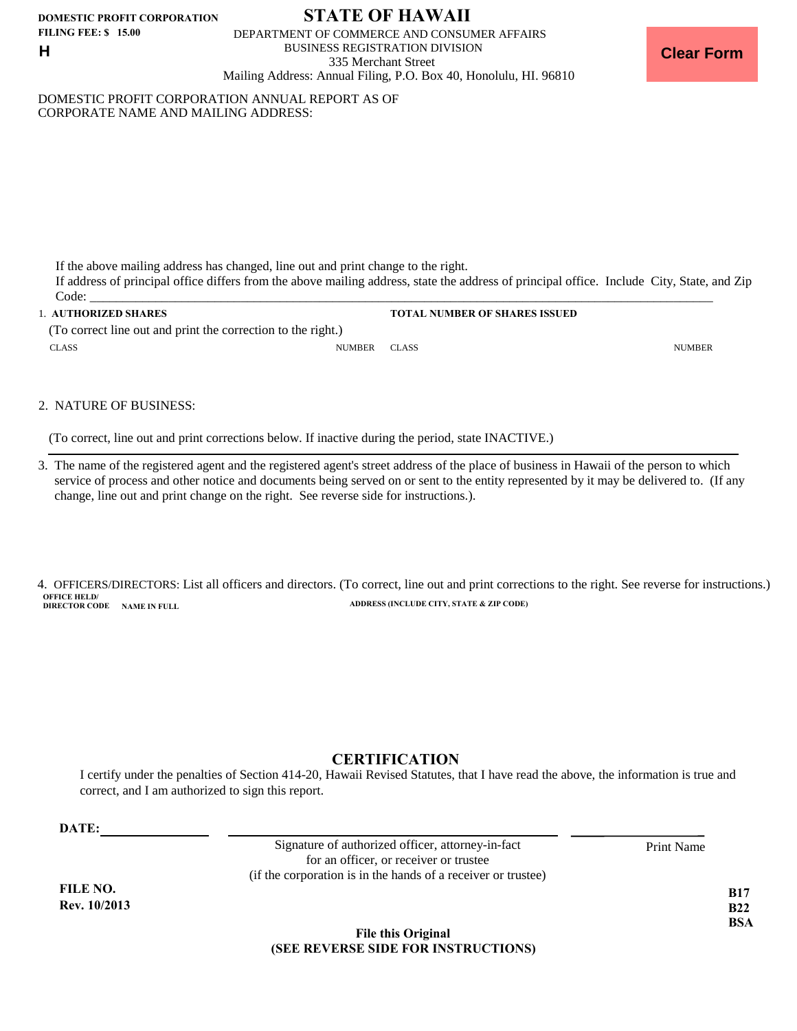**DOMESTIC PROFIT CORPORATION FILING FEE: \$ 15.00 H**

# **STATE OF HAWAII**

DEPARTMENT OF COMMERCE AND CONSUMER AFFAIRS BUSINESS REGISTRATION DIVISION 335 Merchant Street Mailing Address: Annual Filing, P.O. Box 40, Honolulu, HI. 96810

DOMESTIC PROFIT CORPORATION ANNUAL REPORT AS OF CORPORATE NAME AND MAILING ADDRESS:

If the above mailing address has changed, line out and print change to the right.

If address of principal office differs from the above mailing address, state the address of principal office. Include City, State, and Zip Code: \_\_\_\_\_\_\_\_\_\_\_\_\_\_\_\_\_\_\_\_\_\_\_\_\_\_\_\_\_\_\_\_\_\_\_\_\_\_\_\_\_\_\_\_\_\_\_\_\_\_\_\_\_\_\_\_\_\_\_\_\_\_\_\_\_\_\_\_\_\_\_\_\_\_\_\_\_\_\_\_\_\_\_\_\_\_\_\_\_\_\_\_\_\_\_

1. **AUTHORIZED SHARES TOTAL NUMBER OF SHARES ISSUED**  CLASS NUMBER CLASS NUMBER CLASS (To correct line out and print the correction to the right.)

2. NATURE OF BUSINESS:

(To correct, line out and print corrections below. If inactive during the period, state INACTIVE.)

3. The name of the registered agent and the registered agent's street address of the place of business in Hawaii of the person to which service of process and other notice and documents being served on or sent to the entity represented by it may be delivered to. (If any change, line out and print change on the right. See reverse side for instructions.).

**OFFICE HELD/<br>DIRECTOR CODE NAME IN FILL ADDRESS (INCLUDE CITY, STATE & ZIP CODE)** 4. OFFICERS/DIRECTORS: List all officers and directors. (To correct, line out and print corrections to the right. See reverse for instructions.)

## **CERTIFICATION**

I certify under the penalties of Section 414-20, Hawaii Revised Statutes, that I have read the above, the information is true and correct, and I am authorized to sign this report.

**DATE:**

**FILE NO. Rev. 10/2013**

Signature of authorized officer, attorney-in-fact Print Name for an officer, or receiver or trustee (if the corporation is in the hands of a receiver or trustee)

**B17 B22 BSA**

### **File this Original (SEE REVERSE SIDE FOR INSTRUCTIONS)**

**Clear Form**